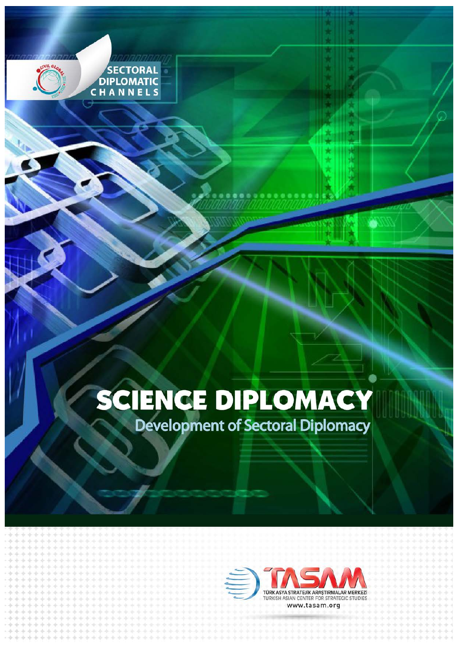# SCIENCE DIPLOMACY

SECTORAL<br>DIPLOMATIC<br>C H A N N E L S

**Development of Sectoral Diplomacy** 

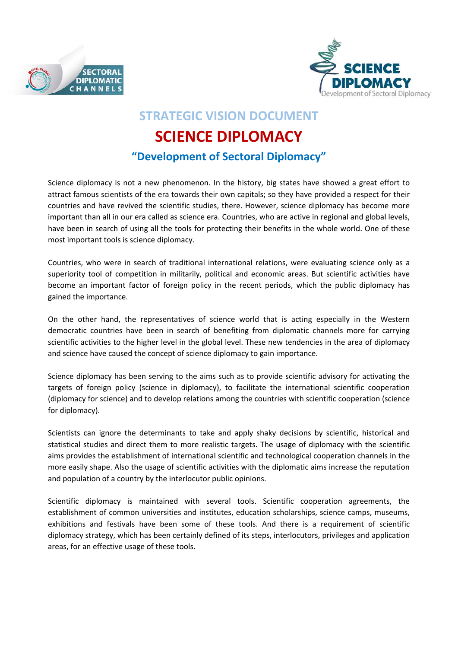



## **STRATEGIC VISION DOCUMENT**

# **SCIENCE DIPLOMACY**

## **"Development of Sectoral Diplomacy"**

Science diplomacy is not a new phenomenon. In the history, big states have showed a great effort to attract famous scientists of the era towards their own capitals; so they have provided a respect for their countries and have revived the scientific studies, there. However, science diplomacy has become more important than all in our era called as science era. Countries, who are active in regional and global levels, have been in search of using all the tools for protecting their benefits in the whole world. One of these most important tools is science diplomacy.

Countries, who were in search of traditional international relations, were evaluating science only as a superiority tool of competition in militarily, political and economic areas. But scientific activities have become an important factor of foreign policy in the recent periods, which the public diplomacy has gained the importance.

On the other hand, the representatives of science world that is acting especially in the Western democratic countries have been in search of benefiting from diplomatic channels more for carrying scientific activities to the higher level in the global level. These new tendencies in the area of diplomacy and science have caused the concept of science diplomacy to gain importance.

Science diplomacy has been serving to the aims such as to provide scientific advisory for activating the targets of foreign policy (science in diplomacy), to facilitate the international scientific cooperation (diplomacy for science) and to develop relations among the countries with scientific cooperation (science for diplomacy).

Scientists can ignore the determinants to take and apply shaky decisions by scientific, historical and statistical studies and direct them to more realistic targets. The usage of diplomacy with the scientific aims provides the establishment of international scientific and technological cooperation channels in the more easily shape. Also the usage of scientific activities with the diplomatic aims increase the reputation and population of a country by the interlocutor public opinions.

Scientific diplomacy is maintained with several tools. Scientific cooperation agreements, the establishment of common universities and institutes, education scholarships, science camps, museums, exhibitions and festivals have been some of these tools. And there is a requirement of scientific diplomacy strategy, which has been certainly defined of its steps, interlocutors, privileges and application areas, for an effective usage of these tools.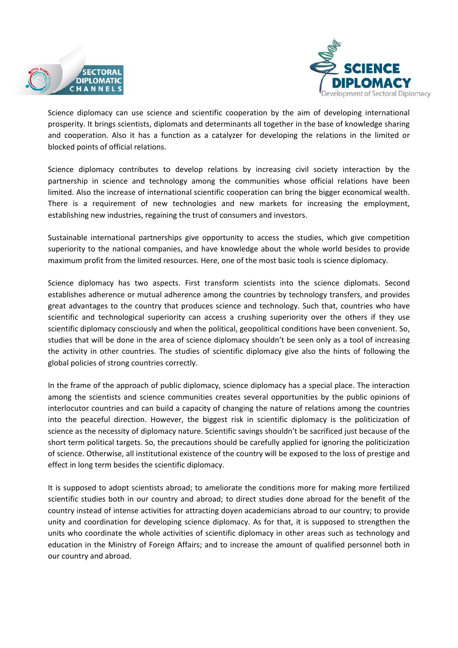



Science diplomacy can use science and scientific cooperation by the aim of developing international prosperity. It brings scientists, diplomats and determinants all together in the base of knowledge sharing and cooperation. Also it has a function as a catalyzer for developing the relations in the limited or blocked points of official relations.

Science diplomacy contributes to develop relations by increasing civil society interaction by the partnership in science and technology among the communities whose official relations have been limited. Also the increase of international scientific cooperation can bring the bigger economical wealth. There is a requirement of new technologies and new markets for increasing the employment, establishing new industries, regaining the trust of consumers and investors.

Sustainable international partnerships give opportunity to access the studies, which give competition superiority to the national companies, and have knowledge about the whole world besides to provide maximum profit from the limited resources. Here, one of the most basic tools is science diplomacy.

Science diplomacy has two aspects. First transform scientists into the science diplomats. Second establishes adherence or mutual adherence among the countries by technology transfers, and provides great advantages to the country that produces science and technology. Such that, countries who have scientific and technological superiority can access a crushing superiority over the others if they use scientific diplomacy consciously and when the political, geopolitical conditions have been convenient. So, studies that will be done in the area of science diplomacy shouldn't be seen only as a tool of increasing the activity in other countries. The studies of scientific diplomacy give also the hints of following the global policies of strong countries correctly.

In the frame of the approach of public diplomacy, science diplomacy has a special place. The interaction among the scientists and science communities creates several opportunities by the public opinions of interlocutor countries and can build a capacity of changing the nature of relations among the countries into the peaceful direction. However, the biggest risk in scientific diplomacy is the politicization of science as the necessity of diplomacy nature. Scientific savings shouldn't be sacrificed just because of the short term political targets. So, the precautions should be carefully applied for ignoring the politicization of science. Otherwise, all institutional existence of the country will be exposed to the loss of prestige and effect in long term besides the scientific diplomacy.

It is supposed to adopt scientists abroad; to ameliorate the conditions more for making more fertilized scientific studies both in our country and abroad; to direct studies done abroad for the benefit of the country instead of intense activities for attracting doyen academicians abroad to our country; to provide unity and coordination for developing science diplomacy. As for that, it is supposed to strengthen the units who coordinate the whole activities of scientific diplomacy in other areas such as technology and education in the Ministry of Foreign Affairs; and to increase the amount of qualified personnel both in our country and abroad.